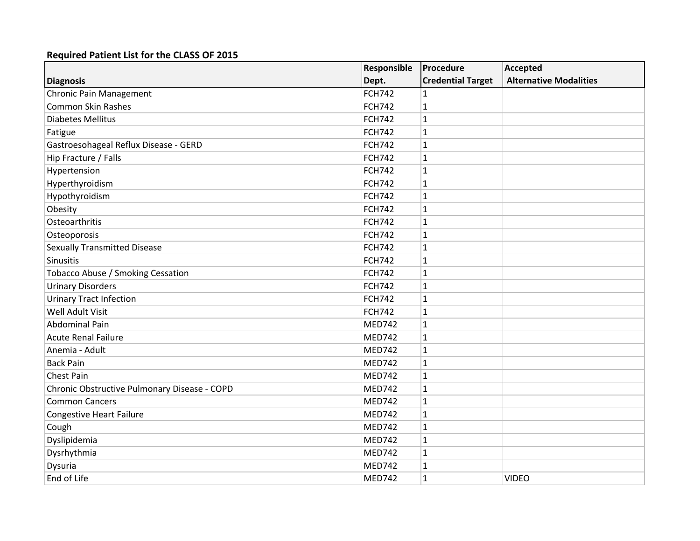|                                              | Responsible   | Procedure                | Accepted                      |
|----------------------------------------------|---------------|--------------------------|-------------------------------|
| <b>Diagnosis</b>                             | Dept.         | <b>Credential Target</b> | <b>Alternative Modalities</b> |
| <b>Chronic Pain Management</b>               | <b>FCH742</b> | 1                        |                               |
| <b>Common Skin Rashes</b>                    | <b>FCH742</b> | $\mathbf{1}$             |                               |
| <b>Diabetes Mellitus</b>                     | <b>FCH742</b> | $\mathbf{1}$             |                               |
| Fatigue                                      | <b>FCH742</b> | 1                        |                               |
| Gastroesohageal Reflux Disease - GERD        | <b>FCH742</b> | $\mathbf{1}$             |                               |
| Hip Fracture / Falls                         | <b>FCH742</b> | 1                        |                               |
| Hypertension                                 | <b>FCH742</b> | 1                        |                               |
| Hyperthyroidism                              | <b>FCH742</b> | 1                        |                               |
| Hypothyroidism                               | <b>FCH742</b> | 1                        |                               |
| Obesity                                      | <b>FCH742</b> | 1                        |                               |
| Osteoarthritis                               | <b>FCH742</b> | $\mathbf 1$              |                               |
| Osteoporosis                                 | <b>FCH742</b> | $\mathbf{1}$             |                               |
| <b>Sexually Transmitted Disease</b>          | <b>FCH742</b> | $\mathbf{1}$             |                               |
| Sinusitis                                    | <b>FCH742</b> | $\mathbf{1}$             |                               |
| Tobacco Abuse / Smoking Cessation            | <b>FCH742</b> | 1                        |                               |
| <b>Urinary Disorders</b>                     | <b>FCH742</b> | 1                        |                               |
| <b>Urinary Tract Infection</b>               | <b>FCH742</b> | $\mathbf{1}$             |                               |
| Well Adult Visit                             | <b>FCH742</b> | 1                        |                               |
| <b>Abdominal Pain</b>                        | <b>MED742</b> | 1                        |                               |
| <b>Acute Renal Failure</b>                   | <b>MED742</b> | $\mathbf{1}$             |                               |
| Anemia - Adult                               | <b>MED742</b> | $\mathbf{1}$             |                               |
| <b>Back Pain</b>                             | <b>MED742</b> | 1                        |                               |
| <b>Chest Pain</b>                            | <b>MED742</b> | 1                        |                               |
| Chronic Obstructive Pulmonary Disease - COPD | <b>MED742</b> | $\mathbf{1}$             |                               |
| <b>Common Cancers</b>                        | <b>MED742</b> | 1                        |                               |
| <b>Congestive Heart Failure</b>              | <b>MED742</b> | $\mathbf{1}$             |                               |
| Cough                                        | <b>MED742</b> | 1                        |                               |
| Dyslipidemia                                 | <b>MED742</b> | 1                        |                               |
| Dysrhythmia                                  | <b>MED742</b> | 1                        |                               |
| Dysuria                                      | <b>MED742</b> | 1                        |                               |
| End of Life                                  | <b>MED742</b> | $\mathbf{1}$             | <b>VIDEO</b>                  |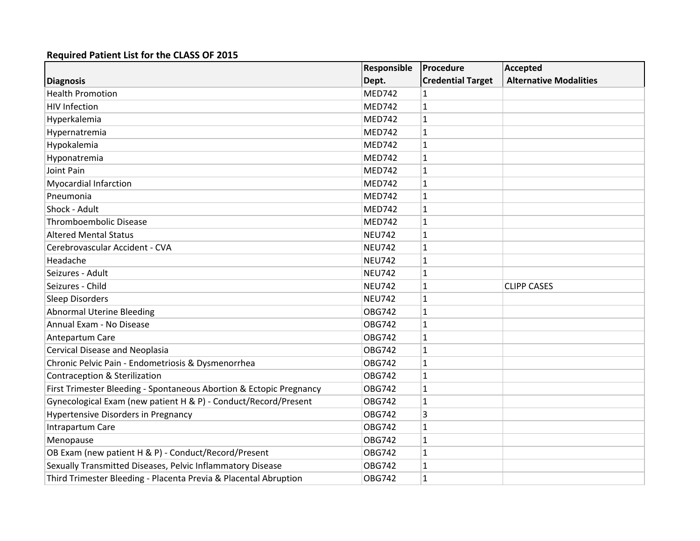|                                                                     | Responsible   | Procedure                | Accepted                      |
|---------------------------------------------------------------------|---------------|--------------------------|-------------------------------|
| <b>Diagnosis</b>                                                    | Dept.         | <b>Credential Target</b> | <b>Alternative Modalities</b> |
| <b>Health Promotion</b>                                             | <b>MED742</b> |                          |                               |
| <b>HIV Infection</b>                                                | <b>MED742</b> | $\mathbf{1}$             |                               |
| Hyperkalemia                                                        | <b>MED742</b> | 1                        |                               |
| Hypernatremia                                                       | <b>MED742</b> | 1                        |                               |
| Hypokalemia                                                         | <b>MED742</b> | 1                        |                               |
| Hyponatremia                                                        | <b>MED742</b> | $\mathbf{1}$             |                               |
| Joint Pain                                                          | <b>MED742</b> | 1                        |                               |
| <b>Myocardial Infarction</b>                                        | <b>MED742</b> | 1                        |                               |
| Pneumonia                                                           | <b>MED742</b> | 1                        |                               |
| Shock - Adult                                                       | <b>MED742</b> | 1                        |                               |
| <b>Thromboembolic Disease</b>                                       | <b>MED742</b> | $\mathbf{1}$             |                               |
| <b>Altered Mental Status</b>                                        | <b>NEU742</b> | $\mathbf{1}$             |                               |
| Cerebrovascular Accident - CVA                                      | <b>NEU742</b> | $\mathbf{1}$             |                               |
| Headache                                                            | <b>NEU742</b> | 1                        |                               |
| Seizures - Adult                                                    | <b>NEU742</b> | 1                        |                               |
| Seizures - Child                                                    | <b>NEU742</b> | 1                        | <b>CLIPP CASES</b>            |
| Sleep Disorders                                                     | <b>NEU742</b> | $\mathbf{1}$             |                               |
| <b>Abnormal Uterine Bleeding</b>                                    | <b>OBG742</b> | $\mathbf{1}$             |                               |
| Annual Exam - No Disease                                            | <b>OBG742</b> | 1                        |                               |
| Antepartum Care                                                     | <b>OBG742</b> | $\mathbf{1}$             |                               |
| Cervical Disease and Neoplasia                                      | <b>OBG742</b> | 1                        |                               |
| Chronic Pelvic Pain - Endometriosis & Dysmenorrhea                  | <b>OBG742</b> | 1                        |                               |
| <b>Contraception &amp; Sterilization</b>                            | <b>OBG742</b> | $\mathbf{1}$             |                               |
| First Trimester Bleeding - Spontaneous Abortion & Ectopic Pregnancy | <b>OBG742</b> | $\mathbf{1}$             |                               |
| Gynecological Exam (new patient H & P) - Conduct/Record/Present     | <b>OBG742</b> | $\mathbf{1}$             |                               |
| <b>Hypertensive Disorders in Pregnancy</b>                          | <b>OBG742</b> | 3                        |                               |
| Intrapartum Care                                                    | <b>OBG742</b> | 1                        |                               |
| Menopause                                                           | <b>OBG742</b> | $\mathbf{1}$             |                               |
| OB Exam (new patient H & P) - Conduct/Record/Present                | <b>OBG742</b> | 1                        |                               |
| Sexually Transmitted Diseases, Pelvic Inflammatory Disease          | <b>OBG742</b> | 1                        |                               |
| Third Trimester Bleeding - Placenta Previa & Placental Abruption    | <b>OBG742</b> | 1                        |                               |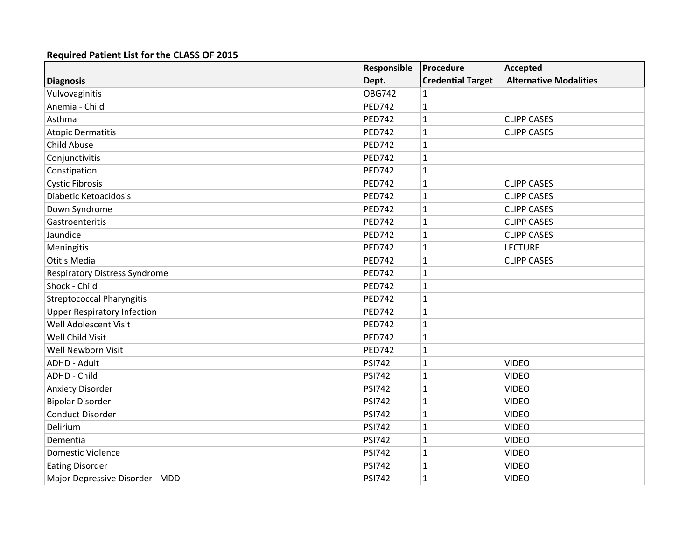|                                      | Responsible   | Procedure                | Accepted                      |
|--------------------------------------|---------------|--------------------------|-------------------------------|
| <b>Diagnosis</b>                     | Dept.         | <b>Credential Target</b> | <b>Alternative Modalities</b> |
| Vulvovaginitis                       | <b>OBG742</b> | 1                        |                               |
| Anemia - Child                       | <b>PED742</b> | $\mathbf{1}$             |                               |
| Asthma                               | <b>PED742</b> | $\mathbf{1}$             | <b>CLIPP CASES</b>            |
| <b>Atopic Dermatitis</b>             | <b>PED742</b> | 1                        | <b>CLIPP CASES</b>            |
| <b>Child Abuse</b>                   | <b>PED742</b> | $\mathbf{1}$             |                               |
| Conjunctivitis                       | <b>PED742</b> | $\mathbf{1}$             |                               |
| Constipation                         | <b>PED742</b> | 1                        |                               |
| <b>Cystic Fibrosis</b>               | <b>PED742</b> | 1                        | <b>CLIPP CASES</b>            |
| Diabetic Ketoacidosis                | <b>PED742</b> | $\mathbf{1}$             | <b>CLIPP CASES</b>            |
| Down Syndrome                        | <b>PED742</b> | 1                        | <b>CLIPP CASES</b>            |
| Gastroenteritis                      | <b>PED742</b> | $\mathbf 1$              | <b>CLIPP CASES</b>            |
| Jaundice                             | <b>PED742</b> | $\mathbf{1}$             | <b>CLIPP CASES</b>            |
| Meningitis                           | <b>PED742</b> | $\mathbf{1}$             | <b>LECTURE</b>                |
| <b>Otitis Media</b>                  | <b>PED742</b> | 1                        | <b>CLIPP CASES</b>            |
| <b>Respiratory Distress Syndrome</b> | <b>PED742</b> | $\mathbf{1}$             |                               |
| Shock - Child                        | <b>PED742</b> | $\mathbf{1}$             |                               |
| <b>Streptococcal Pharyngitis</b>     | <b>PED742</b> | 1                        |                               |
| <b>Upper Respiratory Infection</b>   | <b>PED742</b> | 1                        |                               |
| Well Adolescent Visit                | <b>PED742</b> | 1                        |                               |
| <b>Well Child Visit</b>              | <b>PED742</b> | $\mathbf{1}$             |                               |
| Well Newborn Visit                   | <b>PED742</b> | 1                        |                               |
| <b>ADHD - Adult</b>                  | <b>PSI742</b> | 1                        | <b>VIDEO</b>                  |
| <b>ADHD - Child</b>                  | <b>PSI742</b> | $\mathbf{1}$             | <b>VIDEO</b>                  |
| <b>Anxiety Disorder</b>              | <b>PSI742</b> | 1                        | <b>VIDEO</b>                  |
| <b>Bipolar Disorder</b>              | <b>PSI742</b> | $\mathbf{1}$             | <b>VIDEO</b>                  |
| <b>Conduct Disorder</b>              | <b>PSI742</b> | $\mathbf{1}$             | <b>VIDEO</b>                  |
| Delirium                             | <b>PSI742</b> | 1                        | <b>VIDEO</b>                  |
| Dementia                             | <b>PSI742</b> | $\mathbf{1}$             | <b>VIDEO</b>                  |
| <b>Domestic Violence</b>             | <b>PSI742</b> | $\mathbf{1}$             | <b>VIDEO</b>                  |
| <b>Eating Disorder</b>               | <b>PSI742</b> | $\mathbf{1}$             | <b>VIDEO</b>                  |
| Major Depressive Disorder - MDD      | <b>PSI742</b> | 1                        | <b>VIDEO</b>                  |